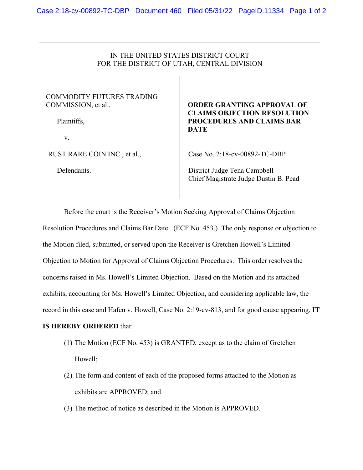## IN THE UNITED STATES DISTRICT COURT FOR THE DISTRICT OF UTAH, CENTRAL DIVISION

## COMMODITY FUTURES TRADING COMMISSION, et al.,

Plaintiffs,

v.

RUST RARE COIN INC., et al.,

Defendants.

## **ORDER GRANTING APPROVAL OF CLAIMS OBJECTION RESOLUTION PROCEDURES AND CLAIMS BAR DATE**

Case No. 2:18-cv-00892-TC-DBP

 District Judge Tena Campbell Chief Magistrate Judge Dustin B. Pead

Before the court is the Receiver's Motion Seeking Approval of Claims Objection Resolution Procedures and Claims Bar Date. (ECF No. 453.) The only response or objection to the Motion filed, submitted, or served upon the Receiver is Gretchen Howell's Limited Objection to Motion for Approval of Claims Objection Procedures. This order resolves the concerns raised in Ms. Howell's Limited Objection. Based on the Motion and its attached exhibits, accounting for Ms. Howell's Limited Objection, and considering applicable law, the record in this case and Hafen v. Howell, Case No. 2:19-cv-813, and for good cause appearing, **IT** 

## **IS HEREBY ORDERED** that:

- (1) The Motion (ECF No. 453) is GRANTED, except as to the claim of Gretchen Howell;
- (2) The form and content of each of the proposed forms attached to the Motion as exhibits are APPROVED; and
- (3) The method of notice as described in the Motion is APPROVED.